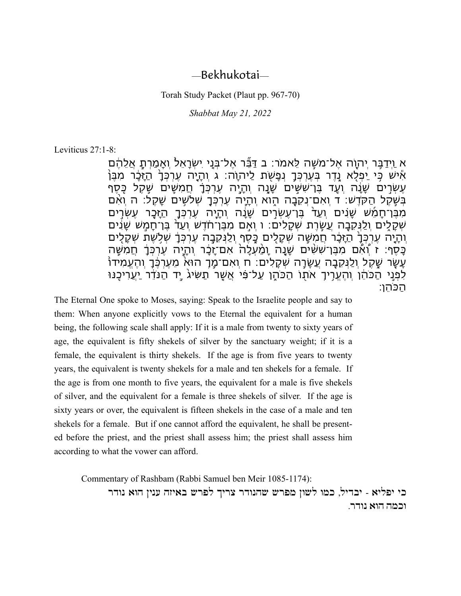## —Bekhukotai—

Torah Study Packet (Plaut pp. 967-70)

*Shabbat May 21, 2022*

Leviticus 27:1-8:

ּא וַיִּדַבֵּ֣ר יְהוָה אֱל־מֹשֶׁה לֵאמֹר: ב דַבֶּ׃ר אֱל־בְּנֵי יִשְׂרַאֵל וְאֲמַרְתָ אֲלֶהֶ֫ם ּאִׂישׁ כִּי יַפְלָא נֶדֶר בְּעֵרְכְּדָ נִפָּשְׂת לַיהוָה: ג וְהָיָה עֵרְכְּךָ הַזָּכֶר מִבֵּן עֵשְׂרִים שֲנֵּה וְעֵד בֶּן־שְׁשִִּים שַׁנַה וְהֵיָה עֵרְכָּךָ חֲמִשֵּׁיִם שֶׁקֶל כֶּסֶף ּבְשֶׁקֶל הַקֹּדֶשׁ: ד וְאִם־נִקֶבָה הָוֹא וְהָיָה עֵרְכְּךָ שְׁלֹשִׁים שָׁקֶל: ה וְאִם ֹמִבֵּן־חָמֵשׁ שָנִים וְעַד בֵּן־עֵשְרֵים שָנָה וְהָיָה עֶרְכְּךָ הַזָּכָָר עֶשְׂרָים ּשְׁקָלִים וְלַנִּקֶבָּה עֵשֶׂרֶת שְׁקָלִים: ו וְאִם מִבֶּן־חֹדֶשׁ וְעַדֹּ בֶּן־חֲמֶשׁ שַַנִּים וִּהָיָה עֵרְכָּךָ הַזָּבֶר חֲמִשָּׁה שִׁקָלִים כָּסֶף וִלַנִּקֶבָה עֵרְכְּךָ שְׁלְשֵׁת שְׁקָלִים ַּכֲסֶף: ז וְੈאֶ֫ם מִבֶּן־שָׁשָּ֫ים שֲנַה וַמַּעֲלָה אִם־זַכֵּ֫ר וְהַיַּה עֶרְכְּךָ חֲמִשָּׁה ַעֲשֶׂר שַׁקֶל וְלַנִּקֶבָּה עֲשֵׂרַ֣ה שְׁקָלִים: ח וְאִם־מַ֣ךְ הוּא מֵעֶרְכֶּ֫ךָ וְהֻעֲמִידוֹ ֹלִפְנֵי הַכֹּהֵ֫ן וְהֶעֱרִיךָ אֹתוֹ הַכֹּהֵן עַל־פִּ֫י אֲשֶׁר תַשִּׂיגֹ יַד הַנֹּדֶר יַעֲרִיכֶנּוּ הַכֹהֵן:

The Eternal One spoke to Moses, saying: Speak to the Israelite people and say to them: When anyone explicitly vows to the Eternal the equivalent for a human being, the following scale shall apply: If it is a male from twenty to sixty years of age, the equivalent is fifty shekels of silver by the sanctuary weight; if it is a female, the equivalent is thirty shekels. If the age is from five years to twenty years, the equivalent is twenty shekels for a male and ten shekels for a female. If the age is from one month to five years, the equivalent for a male is five shekels of silver, and the equivalent for a female is three shekels of silver. If the age is sixty years or over, the equivalent is fifteen shekels in the case of a male and ten shekels for a female. But if one cannot afford the equivalent, he shall be presented before the priest, and the priest shall assess him; the priest shall assess him according to what the vower can afford.

Commentary of Rashbam (Rabbi Samuel ben Meir 1085-1174):

כי יפליא - יבדיל, כמו לשון מפרש שהנודר צריך לפרש באיזה ענין הוא נודר וכמה הוא נודר.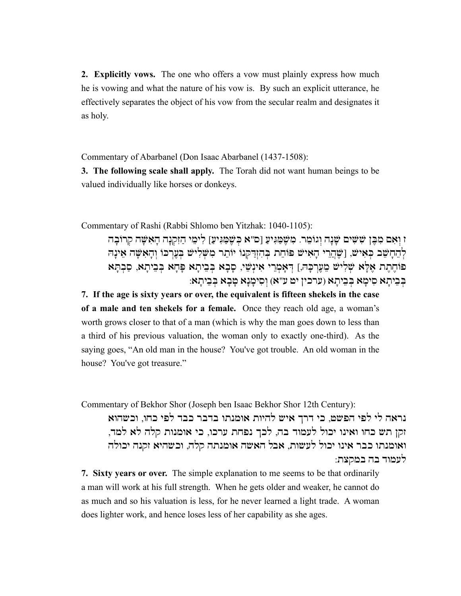**2. Explicitly vows.** The one who offers a vow must plainly express how much he is vowing and what the nature of his vow is. By such an explicit utterance, he effectively separates the object of his vow from the secular realm and designates it as holy.

Commentary of Abarbanel (Don Isaac Abarbanel (1437-1508):

**3. The following scale shall apply.** The Torah did not want human beings to be valued individually like horses or donkeys.

Commentary of Rashi (Rabbi Shlomo ben Yitzhak: 1040-1105):

ז וְאִם מִבֶּן שִׁשִּׁים שָׁנָה וְגוֹמֵר. מִשֶּׁמַּגִּיעַ [ס"א כְּשֶׁמַּגִּיעַ] לִימֵי הַזִּקְנָה הָאִשָּׁה קִרוֹבַה לְהֵחָשֵׁב כִּאִישׁ, [שֶׁהֲרֵי הָאִישׁ פּוֹחֵת בְּהִזְדַקְנוֹ יוֹתֵר מִשְּׁלִישׁ בִעֲרִכּוֹ וְהָאִשָּׁה אֵינָה פוֹחֶתֶת אֶלָּא שְׁלִישׁ מֵעֲרְכָּה,] דְּאָמְרֵי אִינְשֵׁי, סָבָא בְּבֵיתָא בְּבֵיתָא, סַבְתֵּא בִּבְיִתָא סִימַא בְּבֵיתָא (ערכין יט ע"א) וְסִימַנֵא טַבָא בְּבֵיתָא:

**7. If the age is sixty years or over, the equivalent is fifteen shekels in the case of a male and ten shekels for a female.** Once they reach old age, a woman's worth grows closer to that of a man (which is why the man goes down to less than a third of his previous valuation, the woman only to exactly one-third). As the saying goes, "An old man in the house? You've got trouble. An old woman in the house? You've got treasure."

Commentary of Bekhor Shor (Joseph ben Isaac Bekhor Shor 12th Century):

נראה לי לפי הפשט, כי דרך איש להיות אומנתו בדבר כבד לפי כחו, וכשהוא זקן תש כחו ואינו יכול לעמוד בה, לכך נפחת ערכו, כי אומנות קלה לא למד, ואומנתו כבר אינו יכול לעשות, אבל האשה אומנתה קלה, וכשהיא זקנה יכולה לעמוד בה במקצת:

**7. Sixty years or over.** The simple explanation to me seems to be that ordinarily a man will work at his full strength. When he gets older and weaker, he cannot do as much and so his valuation is less, for he never learned a light trade. A woman does lighter work, and hence loses less of her capability as she ages.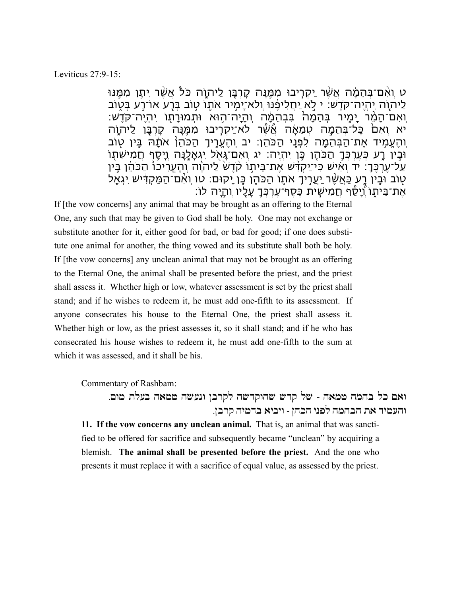## Leviticus 27:9-15:

ּט וְאִם־בְּהֶמֶ֫ה אֲשֶׁר יַקְרִיבוּ מִמֶּנַה קֵרְבָּן לַיהוָה כֹּלֹ אֲשֶׁר יִתָּן מִמֶּנּוּ ַלַיהוֹה יִהְיָה־קֹדֶש: י לָא יַחֲלִיפֶנוּ וְלֹא־יָמִיר אֹתְוֹ טְוֹב בְּרָע אוֹ־רַע בְּטְוֹב וְאִם־הָמֵ֨ר יָמִ֤יר בְהֵמָה֙ בִבְהֵמָ֔ה וְהָיָה־ה֥וא ותְמורָת֖ו יִהְיֶה־קֹדֶש: יא וְאִם כָּל־בְּהֵמָה טְמֵאָה אֲשֶׁר לֹא־יַקְרָיבוּ מִמֶּנָה קָרְבָּן לַיהוָה וְהֶעֱמִ֥יד אֶת־הַבְהֵמָ֖ה לִפְנֵ֥י הַכֹהֵן: יב וְהֶעֱרִ֤יךְ הַכֹהֵן֙ אֹתָ֔ה בֵ֥ין ט֖וב ּוּבְין רָע כְּעֶרְכְּךָ הַכֹּהֶן כֶּן יִהְיֶה: יג וְאִם־גָּאָל יִגְאָלֶנָה וָיָסֵף חֲמִישִתְוֹ ַעַל־עֶרְכֶּךָ: יד וְאִישׁ כִּי־יַקְדָּשׁ אֶת־בֵּיתו קֹדֶשׂ לַיהוָה וְהֶעֱרִיכוּ הַכֹּהֵ֫ן בֵּין ַטְוֹב וּבֵין רָע כַּאֲשֶׁר יַעֲרִיךָ אֹתֶוֹ הַכֹּהֶן כֶּן יָקוּם: טו וְאָם־הַמַּקְדִּישׁ יִגְאַל ּאֶת־בֵּיתָוֹ וְיַסֵּ֫ף חֲמִישִׁית כֶּסֶף־עֶרְכָּךָ עָלֵיו וְהַיָּה לוֹ:

If [the vow concerns] any animal that may be brought as an offering to the Eternal One, any such that may be given to God shall be holy. One may not exchange or substitute another for it, either good for bad, or bad for good; if one does substitute one animal for another, the thing vowed and its substitute shall both be holy. If [the vow concerns] any unclean animal that may not be brought as an offering to the Eternal One, the animal shall be presented before the priest, and the priest shall assess it. Whether high or low, whatever assessment is set by the priest shall stand; and if he wishes to redeem it, he must add one-fifth to its assessment. If anyone consecrates his house to the Eternal One, the priest shall assess it. Whether high or low, as the priest assesses it, so it shall stand; and if he who has consecrated his house wishes to redeem it, he must add one-fifth to the sum at which it was assessed, and it shall be his.

Commentary of Rashbam:

ואם כל בהמה טמאה - של קדש שהוקדשה לקרבן ונעשה טמאה בעלת מום. והעמיד את הבהמה לפני הכהן - ויביא בדמיה קרבן.

**11. If the vow concerns any unclean animal.** That is, an animal that was sanctified to be offered for sacrifice and subsequently became "unclean" by acquiring a blemish. **The animal shall be presented before the priest.** And the one who presents it must replace it with a sacrifice of equal value, as assessed by the priest.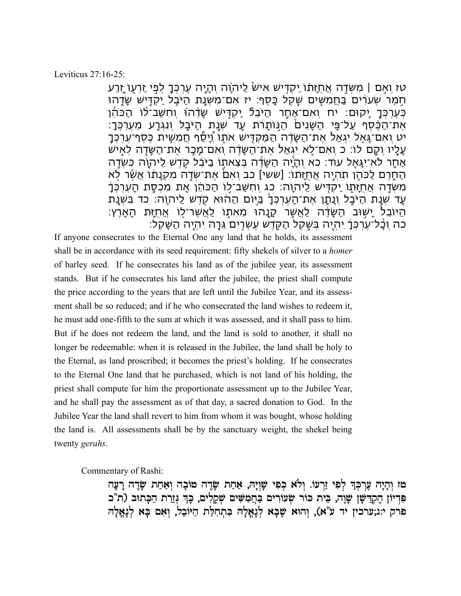## Leviticus 27:16-25:

טז וְאָם | מִשְׂדֵה אֲחֲזָתֿו יַקְדִּישׁ אִישׂ לַיהוֶה וְהָיָה עֶרְכְּךָ לְפִי זַרְעָוֹ זֶנַע ּחְמֶר שְעֹרִ֫ים בַּחֲמִשִּׁים שֶׁקֱל כַּסֶף: יז אִם־מִשְׁנַת הַיּבֵל יַקְדִּישׁ שֶׂדָהוּ ּכְּעֵרְכְּךָ יָקוּם: יח וְאִם־אַחָר הַיּבֵלٌ יַקִדְּישׁ שֶׂדֵּ֫הוֹּ וְחִשַּׁב־לֹוֹ הַכֹּהֵ֫ן ּאֶת־הַכֶּ֫סֶף עַל־פִּי הַשֶּׁנִים הַנִּוֹתָרֹׄת עַד שְׁנַת הַיּּבֶל וְנִגְרַע מֵעֵרְכֶּךָ: יט וְאִם־גַּאָל יִגְאַל אֶת־הַשֶּׂדֶה הַמַּקְדִּישׁ אֹתָוֹ וְיָסֶד חֲמִשִּׁית כֶּסֶף־עֶרְכְּךָ ּעָלָיו וְקֶם לוֹ: כ וְאִם־לָא יְגְאַל אֶת־הַשֶּׂדֶ֫ה וְאִם־מֶכָּ֣ר אֶת־הַשֶּׂדֶה לְאִיש אַחֶר לֹא־יְגַּאֵל עוֹד: כא וְהָיָה הַשֶּׂדֶּה בְּצֵאתָוֹ בַיּבֵּל קֶדֶשׁ לַיהוֶה כִּשְׂדֵה ּהַחֶּרֶם לַכֹּהֶן תִהְיֶה אֲחֻזַתו: [ששי] כב וְאָםׂ אֶת־שְׂדֶה מִקְנַתוֹ אֲשֶׂר לָא ֹמְשְׂדֵה אֲחֲזֶתוֹ יַקְדִּישׁ לַיהוָה: כג וְחִשַּׁב־לִוֹ הַכֹּהֵ֫ן אֶת מִכְסַת הָעֵרְכְּדָ ַעָד שְׁנָת הַיּבֶל וְנָתַן אֶת־הָעֶרְכְּךָ בַיַּיֹם הַהוֹּא קֻדֶשׁ לַיהוָה: כד בִשְׁנַת ֹהַיּוֹבֶל יַשְׁוּב הַשֶּׂדֶ֫ה לַאֲשֶׁר קָנָהוּ מֵאִתְוֹ לַאֲשֶׁר־לָוֹ אֲחֻזַּת הָאָרֵץ: ֹכָּה וְכָָל־עֶרְכְּךָ יִהְיֶה בְּשֶׁקֶל הַקָּדֶשׁ עֵשְׂרִים גֵּרָה יִהְיֶה הַשֶּׁקֶל:

If anyone consecrates to the Eternal One any land that he holds, its assessment shall be in accordance with its seed requirement: fifty shekels of silver to a *homer* of barley seed. If he consecrates his land as of the jubilee year, its assessment stands. But if he consecrates his land after the jubilee, the priest shall compute the price according to the years that are left until the Jubilee Year, and its assessment shall be so reduced; and if he who consecrated the land wishes to redeem it, he must add one-fifth to the sum at which it was assessed, and it shall pass to him. But if he does not redeem the land, and the land is sold to another, it shall no longer be redeemable: when it is released in the Jubilee, the land shall be holy to the Eternal, as land proscribed; it becomes the priest's holding. If he consecrates to the Eternal One land that he purchased, which is not land of his holding, the priest shall compute for him the proportionate assessment up to the Jubilee Year, and he shall pay the assessment as of that day, a sacred donation to God. In the Jubilee Year the land shall revert to him from whom it was bought, whose holding the land is. All assessments shall be by the sanctuary weight, the shekel being twenty *gerahs*.

Commentary of Rashi:

טז וְהָיָה עֵרְכְּךָ לְפִי זַרְעוֹ. וְלֹא כִּפִי שָׁוְיָה, אַחַת שָׂדֶה טוֹבָה וְאַחַת שָׂדֶה רָעָה פִּדִיוֹן הֶקְדֵּשָּׁן שָׁוֶה, בֵּית כּוֹר שִׂעוֹרִים בַּחֲמִשִּׁים שִׁקָלִים, כָּךְ גְּזֵרת הַבְּתוּב (ת"כ פרק י:ג;ערכין יד ע"א), וְהוּא שֶׁבָּא לְנָאֱלָהּ בִּתְחִלַּת הַיּוֹבֵל, וְאִם בָּא לְנָאֱלָה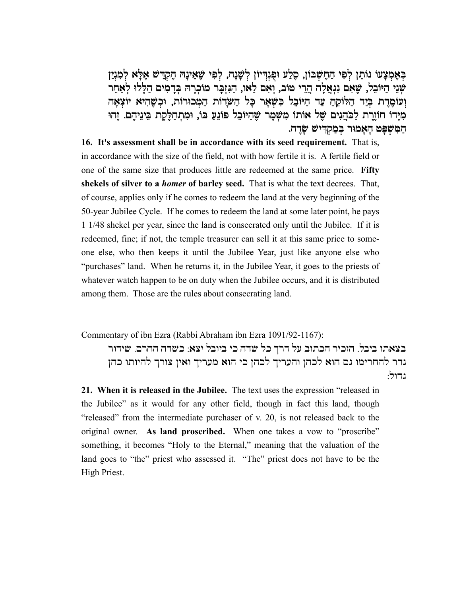בְּאֶמְצָעוֹ נוֹתֵן לְפִי הַחֶשְּׁבּוֹן, סֶלַע וּפִנְדִיוֹן לְשָׁנָה, לְפִי שֶׁאֵינָהּ הֶקְדֵישׁ אֶלָּא לְמִנְיַ שְׁנֵי הַיּוֹבֵל, שֵׁאִם נִגְאֲלַה הֲרֵי טוֹב, וְאִם לַאו, הַגְּזְבַר מוֹכְרַהּ בְּדַמְים הַלַּלוּ לְאַחֵר וְ עוֹמֶרֶת בְּיַד הַלּוֹקֵהַ עַד הַיּוֹבֵל בִּשְׁאָר כָּל הַשַּׂדוֹת הַמְּכוּרוֹת, וּכִשֶּׁהִיא יוֹצְאָה ִמְיָּרוֹ חוֹזֶרֶת לַכֹּהֲנִים שֶׁל אוֹתוֹ מִשְּׁפֶר שֶׁהַיּוֹבֵל פּוֹנֵעַ בּוֹ, וּמִתְהַלֶּקֶת בֵּינֵיהֶם. זֶהוּ הַ מִּ שְׁ פָּ ט הָ אָ מוּר בְּ מַ קְ דִּ ישׁ שָׂ דֶ ה.

**16. It's assessment shall be in accordance with its seed requirement.** That is, in accordance with the size of the field, not with how fertile it is. A fertile field or one of the same size that produces little are redeemed at the same price. **Fifty shekels of silver to a** *homer* **of barley seed.** That is what the text decrees. That, of course, applies only if he comes to redeem the land at the very beginning of the 50-year Jubilee Cycle. If he comes to redeem the land at some later point, he pays 1 1/48 shekel per year, since the land is consecrated only until the Jubilee. If it is redeemed, fine; if not, the temple treasurer can sell it at this same price to someone else, who then keeps it until the Jubilee Year, just like anyone else who "purchases" land. When he returns it, in the Jubilee Year, it goes to the priests of whatever watch happen to be on duty when the Jubilee occurs, and it is distributed among them. Those are the rules about consecrating land.

Commentary of ibn Ezra (Rabbi Abraham ibn Ezra 1091/92-1167):

בצאתו ביבל. הזכיר הכתוב על דרך כל שדה כי ביובל יצא: כשדה החרם. שידור נדר להחרימו גם הוא לכהן והעריך לכהן כי הוא מעריך ואין צורך להיותו כהן גדול:

**21. When it is released in the Jubilee.** The text uses the expression "released in the Jubilee" as it would for any other field, though in fact this land, though "released" from the intermediate purchaser of v. 20, is not released back to the original owner. **As land proscribed.** When one takes a vow to "proscribe" something, it becomes "Holy to the Eternal," meaning that the valuation of the land goes to "the" priest who assessed it. "The" priest does not have to be the High Priest.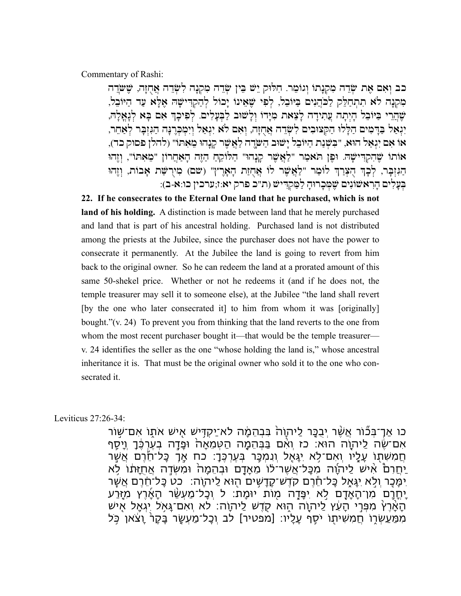Commentary of Rashi:

כב וְאִם אֶת שְׂדֵה מִקְנָתוֹ וְגוֹמֵר. חִלּוּק יֵשׁ בֵּין שְׂדֵה מִקְנָה לִשְׂדֵה אֲחֻזָּה, שֶׁשֹׂדֵה מִקְנָה לֹא תִתְחַלֵּק לַכִּהֲנִים בַּיּוֹבֵל, לְפִי שֶׁאֵינוּ יָכוֹל לְהַקְדִּישָׁה אֶלָּא עַד הַיּוֹבֵל, שֶׁהֲרֵי בַּיּוֹבֵל הָיִתָה עֲתִידָה לָצֵאת מִיָּדוֹ וְלָשׁוּב לַבְעָלִים. לְפִיכָךְ אִם בָּא לְנָאֲלָה, יִנְאַל בַּדָּמִים הַלָּלוּ הַקְּצוּבִים לִשְׂדֵה אֲחָזָה, וְאִם לֹא יִנְאַל וְיִמְבְּרֶנָּה הַגִּזְבָּר לְאַחֵר, אוֹ אִ ם יִ גְ אַ ל הוּא, "בִּ שְׁ נַ ת הַ יּוֹבֵ ל יָ שׁוּב הַ שָּׂדֶ ה לַ אֲ שֶׁ ר קָ נָ הוּ מֵ אִ תּוֹ" (להלן פסוק כד), אוֹתוֹ שֶׁהְקְדִּישָׁהּ. וּפֵן הֹאמָר "לַאֲשֶׁר קַנָהוּ" הַלּוֹקֶהַ הַזֶּה הַאֲחֲרוֹן "מֵאִתּוֹ", וְזֶהוּ הַגְּזְבָּר, לְכָךְ הִצְרַךְ לוֹמֵר "לַאֲשֶׁר לוֹ אֲהִזַּת הָאֲרֶץ" (שם) מְירְשָּׁת אָבוֹת, וְזֶהוּ בְּעָלִים הַרְאשׁוֹנִים שֵׁמְּכָרוּהָ לַמֲקְדִּישׁ (ת"כ פרק יא:ז;ערכין כו:א-ב):

**22. If he consecrates to the Eternal One land that he purchased, which is not land of his holding.** A distinction is made between land that he merely purchased and land that is part of his ancestral holding. Purchased land is not distributed among the priests at the Jubilee, since the purchaser does not have the power to consecrate it permanently. At the Jubilee the land is going to revert from him back to the original owner. So he can redeem the land at a prorated amount of this same 50-shekel price. Whether or not he redeems it (and if he does not, the temple treasurer may sell it to someone else), at the Jubilee "the land shall revert [by the one who later consecrated it] to him from whom it was [originally] bought."(v. 24) To prevent you from thinking that the land reverts to the one from whom the most recent purchaser bought it—that would be the temple treasurer v. 24 identifies the seller as the one "whose holding the land is," whose ancestral inheritance it is. That must be the original owner who sold it to the one who consecrated it.

Leviticus 27:26-34:

ְכו אַךְ־בְּכֿוֹר אֲשֶׁר יְבְכֵּר לַיהוָה בִּבְהֻמָּ֫ה לֹא־יַקְדִּישׁ אִישׁ אֹתָוֹ אִם־שְׁוֹר אִם־שֶׂה לַיהוֶׂה הוּא: כז וְאִ֫ם בַּבְּהֵמָ֣ה הַטְמֵאָה וּפָדָה בְעֵרְכֶּ֫ךָ וְיָסֶף ְחֲמִשְׁתְּוֹ עָלָיו וְאִם־לָא יְגָאֵל וְנִמְכָּ֣ר בְּעֵרְכֶּ֣ךָ׃ כח אָךָ כָּל־חֵׂרֶם אֲשֶׁר ַיְחֲרָםْ אִישׁ לַיהוֶׁה מִכַּל־אֲשֶר־לֹוֹ מֵאֲדָם וּבְהֶמֶה וּמִשְׂדֵה אֲחַזַתּׁוֹ לָא יִמַּכֵר וְלָא יְגֵאֵל כַּל־חֵׂרֶם קֹדֶש־קָדַשִׁים הִוּא לַיהוֹה: כט כַּל־חֵרֶם אֲשֶׁר ַיְחֲרַם מִן־הָאֲדָם לִא יִפָּדֶה מִוֹת יוּמֵת: ל וְכָל־מַעְשַׂר הַאֲרֵץ מִזֶּרַע ֿהָאָ֫רֶץâ מִפְּרֵי הָעֵׁץ לַיהוָה הָוּא קָדֶש לַיהוָה: לא וְאִם־גָּאָל יִגְאָל אִיש מִמַּעֵשְרָו חֲמִשִּׁיתו יֹסֶף עַלֵיו: [מפטיר] לב וְכָל־מַעְשַׂר בַּקָר וַצֹאן כֹּל